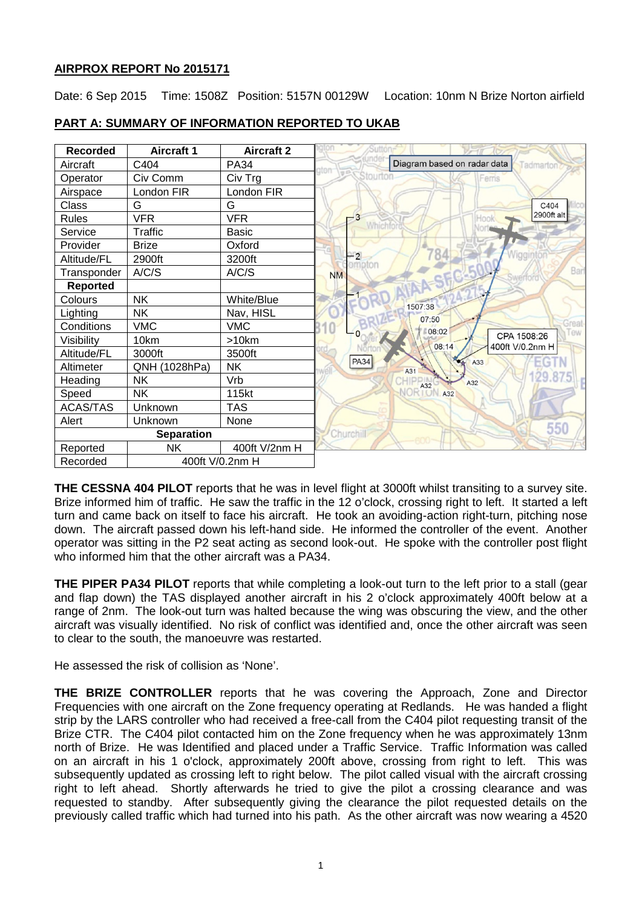# **AIRPROX REPORT No 2015171**

Date: 6 Sep 2015 Time: 1508Z Position: 5157N 00129W Location: 10nm N Brize Norton airfield



# **PART A: SUMMARY OF INFORMATION REPORTED TO UKAB**

**THE CESSNA 404 PILOT** reports that he was in level flight at 3000ft whilst transiting to a survey site. Brize informed him of traffic. He saw the traffic in the 12 o'clock, crossing right to left. It started a left turn and came back on itself to face his aircraft. He took an avoiding-action right-turn, pitching nose down. The aircraft passed down his left-hand side. He informed the controller of the event. Another operator was sitting in the P2 seat acting as second look-out. He spoke with the controller post flight who informed him that the other aircraft was a PA34.

**THE PIPER PA34 PILOT** reports that while completing a look-out turn to the left prior to a stall (gear and flap down) the TAS displayed another aircraft in his 2 o'clock approximately 400ft below at a range of 2nm. The look-out turn was halted because the wing was obscuring the view, and the other aircraft was visually identified. No risk of conflict was identified and, once the other aircraft was seen to clear to the south, the manoeuvre was restarted.

He assessed the risk of collision as 'None'.

**THE BRIZE CONTROLLER** reports that he was covering the Approach, Zone and Director Frequencies with one aircraft on the Zone frequency operating at Redlands. He was handed a flight strip by the LARS controller who had received a free-call from the C404 pilot requesting transit of the Brize CTR. The C404 pilot contacted him on the Zone frequency when he was approximately 13nm north of Brize. He was Identified and placed under a Traffic Service. Traffic Information was called on an aircraft in his 1 o'clock, approximately 200ft above, crossing from right to left. This was subsequently updated as crossing left to right below. The pilot called visual with the aircraft crossing right to left ahead. Shortly afterwards he tried to give the pilot a crossing clearance and was requested to standby. After subsequently giving the clearance the pilot requested details on the previously called traffic which had turned into his path. As the other aircraft was now wearing a 4520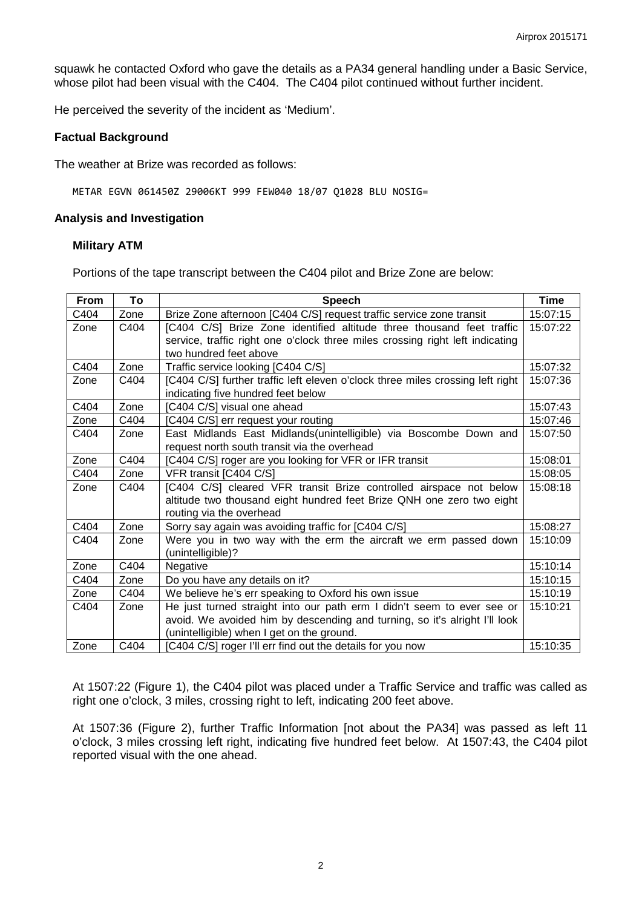squawk he contacted Oxford who gave the details as a PA34 general handling under a Basic Service, whose pilot had been visual with the C404. The C404 pilot continued without further incident.

He perceived the severity of the incident as 'Medium'.

### **Factual Background**

The weather at Brize was recorded as follows:

METAR EGVN 061450Z 29006KT 999 FEW040 18/07 Q1028 BLU NOSIG=

#### **Analysis and Investigation**

#### **Military ATM**

Portions of the tape transcript between the C404 pilot and Brize Zone are below:

| <b>From</b> | To   | <b>Speech</b>                                                                  | <b>Time</b> |
|-------------|------|--------------------------------------------------------------------------------|-------------|
| C404        | Zone | Brize Zone afternoon [C404 C/S] request traffic service zone transit           | 15:07:15    |
| Zone        | C404 | [C404 C/S] Brize Zone identified altitude three thousand feet traffic          | 15:07:22    |
|             |      | service, traffic right one o'clock three miles crossing right left indicating  |             |
|             |      | two hundred feet above                                                         |             |
| C404        | Zone | Traffic service looking [C404 C/S]                                             | 15:07:32    |
| Zone        | C404 | [C404 C/S] further traffic left eleven o'clock three miles crossing left right | 15:07:36    |
|             |      | indicating five hundred feet below                                             |             |
| C404        | Zone | [C404 C/S] visual one ahead                                                    | 15:07:43    |
| Zone        | C404 | [C404 C/S] err request your routing                                            | 15:07:46    |
| C404        | Zone | East Midlands East Midlands(unintelligible) via Boscombe Down and              | 15:07:50    |
|             |      | request north south transit via the overhead                                   |             |
| Zone        | C404 | [C404 C/S] roger are you looking for VFR or IFR transit                        | 15:08:01    |
| C404        | Zone | VFR transit [C404 C/S]                                                         | 15:08:05    |
| Zone        | C404 | [C404 C/S] cleared VFR transit Brize controlled airspace not below             | 15:08:18    |
|             |      | altitude two thousand eight hundred feet Brize QNH one zero two eight          |             |
|             |      | routing via the overhead                                                       |             |
| C404        | Zone | Sorry say again was avoiding traffic for [C404 C/S]                            | 15:08:27    |
| C404        | Zone | Were you in two way with the erm the aircraft we erm passed down               | 15:10:09    |
|             |      | (unintelligible)?                                                              |             |
| Zone        | C404 | Negative                                                                       | 15:10:14    |
| C404        | Zone | Do you have any details on it?                                                 | 15:10:15    |
| Zone        | C404 | We believe he's err speaking to Oxford his own issue                           | 15:10:19    |
| C404        | Zone | He just turned straight into our path erm I didn't seem to ever see or         | 15:10:21    |
|             |      | avoid. We avoided him by descending and turning, so it's alright I'll look     |             |
|             |      | (unintelligible) when I get on the ground.                                     |             |
| Zone        | C404 | [C404 C/S] roger I'll err find out the details for you now                     | 15:10:35    |

At 1507:22 (Figure 1), the C404 pilot was placed under a Traffic Service and traffic was called as right one o'clock, 3 miles, crossing right to left, indicating 200 feet above.

At 1507:36 (Figure 2), further Traffic Information [not about the PA34] was passed as left 11 o'clock, 3 miles crossing left right, indicating five hundred feet below. At 1507:43, the C404 pilot reported visual with the one ahead.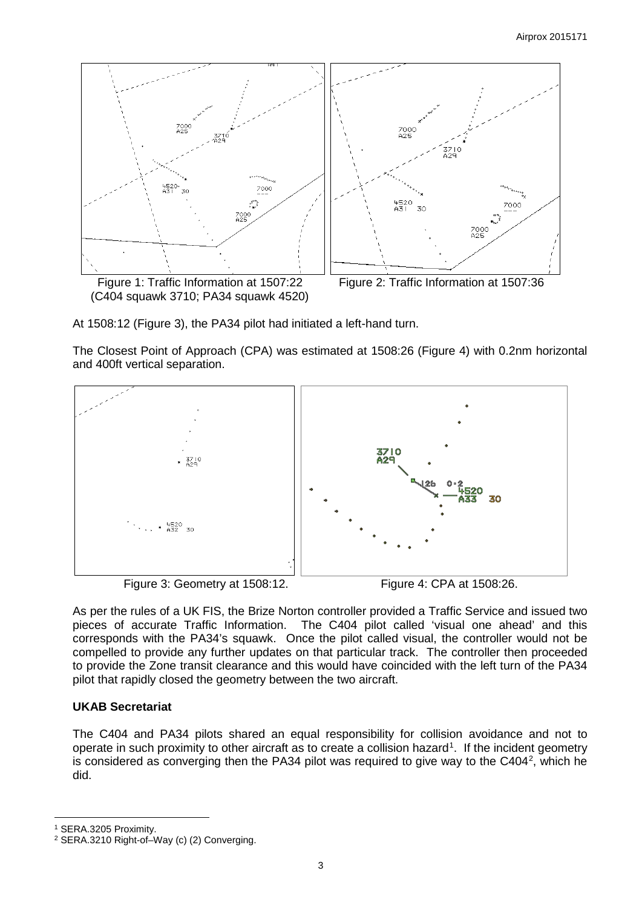

At 1508:12 (Figure 3), the PA34 pilot had initiated a left-hand turn.

The Closest Point of Approach (CPA) was estimated at 1508:26 (Figure 4) with 0.2nm horizontal and 400ft vertical separation.



As per the rules of a UK FIS, the Brize Norton controller provided a Traffic Service and issued two pieces of accurate Traffic Information. The C404 pilot called 'visual one ahead' and this corresponds with the PA34's squawk. Once the pilot called visual, the controller would not be compelled to provide any further updates on that particular track. The controller then proceeded to provide the Zone transit clearance and this would have coincided with the left turn of the PA34 pilot that rapidly closed the geometry between the two aircraft.

# **UKAB Secretariat**

The C404 and PA34 pilots shared an equal responsibility for collision avoidance and not to operate in such proximity to other aircraft as to create a collision hazard<sup>[1](#page-2-0)</sup>. If the incident geometry is considered as converging then the PA34 pilot was required to give way to the C404<sup>[2](#page-2-1)</sup>, which he did.

<span id="page-2-0"></span><sup>1</sup> SERA.3205 Proximity.

l

<span id="page-2-1"></span><sup>2</sup> SERA.3210 Right-of–Way (c) (2) Converging.